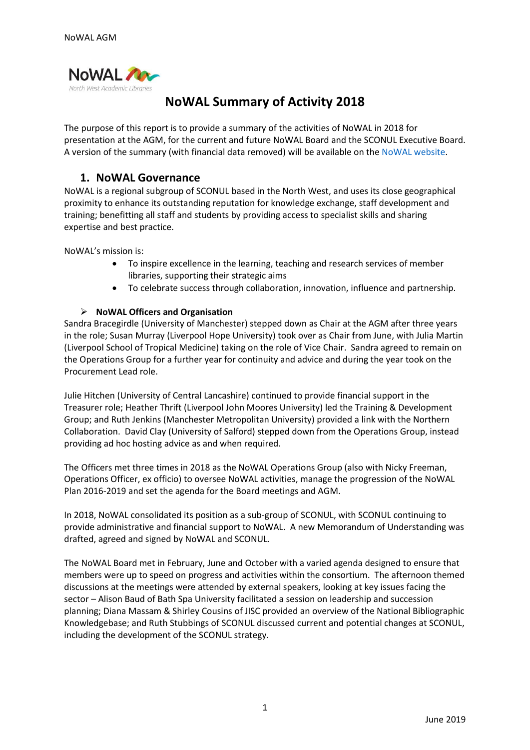

# **NoWAL Summary of Activity 2018**

The purpose of this report is to provide a summary of the activities of NoWAL in 2018 for presentation at the AGM, for the current and future NoWAL Board and the SCONUL Executive Board. A version of the summary (with financial data removed) will be available on the [NoWAL website.](http://www.nowal.ac.uk/)

## **1. NoWAL Governance**

NoWAL is a regional subgroup of SCONUL based in the North West, and uses its close geographical proximity to enhance its outstanding reputation for knowledge exchange, staff development and training; benefitting all staff and students by providing access to specialist skills and sharing expertise and best practice.

NoWAL's mission is:

- To inspire excellence in the learning, teaching and research services of member libraries, supporting their strategic aims
- To celebrate success through collaboration, innovation, influence and partnership.

#### ➢ **NoWAL Officers and Organisation**

Sandra Bracegirdle (University of Manchester) stepped down as Chair at the AGM after three years in the role; Susan Murray (Liverpool Hope University) took over as Chair from June, with Julia Martin (Liverpool School of Tropical Medicine) taking on the role of Vice Chair. Sandra agreed to remain on the Operations Group for a further year for continuity and advice and during the year took on the Procurement Lead role.

Julie Hitchen (University of Central Lancashire) continued to provide financial support in the Treasurer role; Heather Thrift (Liverpool John Moores University) led the Training & Development Group; and Ruth Jenkins (Manchester Metropolitan University) provided a link with the Northern Collaboration. David Clay (University of Salford) stepped down from the Operations Group, instead providing ad hoc hosting advice as and when required.

The Officers met three times in 2018 as the NoWAL Operations Group (also with Nicky Freeman, Operations Officer, ex officio) to oversee NoWAL activities, manage the progression of the NoWAL Plan 2016-2019 and set the agenda for the Board meetings and AGM.

In 2018, NoWAL consolidated its position as a sub-group of SCONUL, with SCONUL continuing to provide administrative and financial support to NoWAL. A new Memorandum of Understanding was drafted, agreed and signed by NoWAL and SCONUL.

The NoWAL Board met in February, June and October with a varied agenda designed to ensure that members were up to speed on progress and activities within the consortium. The afternoon themed discussions at the meetings were attended by external speakers, looking at key issues facing the sector – Alison Baud of Bath Spa University facilitated a session on leadership and succession planning; Diana Massam & Shirley Cousins of JISC provided an overview of the National Bibliographic Knowledgebase; and Ruth Stubbings of SCONUL discussed current and potential changes at SCONUL, including the development of the SCONUL strategy.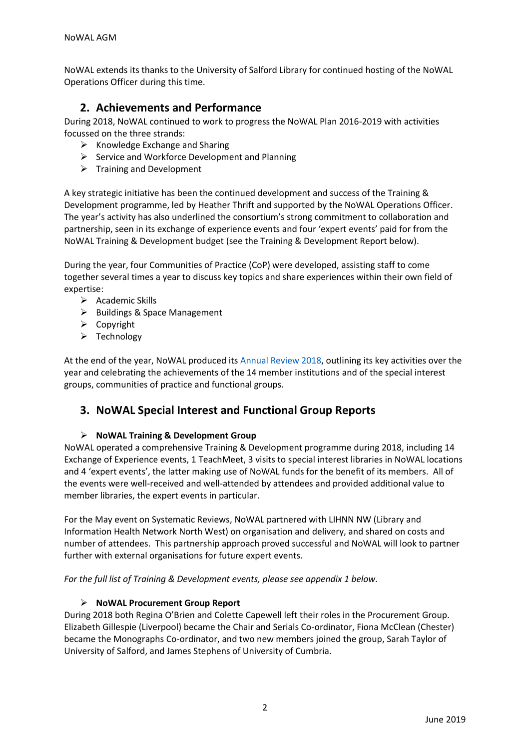NoWAL extends its thanks to the University of Salford Library for continued hosting of the NoWAL Operations Officer during this time.

## **2. Achievements and Performance**

During 2018, NoWAL continued to work to progress the NoWAL Plan 2016-2019 with activities focussed on the three strands:

- $\triangleright$  Knowledge Exchange and Sharing
- ➢ Service and Workforce Development and Planning
- ➢ Training and Development

A key strategic initiative has been the continued development and success of the Training & Development programme, led by Heather Thrift and supported by the NoWAL Operations Officer. The year's activity has also underlined the consortium's strong commitment to collaboration and partnership, seen in its exchange of experience events and four 'expert events' paid for from the NoWAL Training & Development budget (see the Training & Development Report below).

During the year, four Communities of Practice (CoP) were developed, assisting staff to come together several times a year to discuss key topics and share experiences within their own field of expertise:

- ➢ Academic Skills
- ➢ Buildings & Space Management
- ➢ Copyright
- ➢ Technology

At the end of the year, NoWAL produced its [Annual Review 2018,](file:///D:/NoWAL%202015%20-%20Nicky/Annual%20Review/2018/NoWAL%20Annual%20Review%202018.pdf) outlining its key activities over the year and celebrating the achievements of the 14 member institutions and of the special interest groups, communities of practice and functional groups.

## **3. NoWAL Special Interest and Functional Group Reports**

#### ➢ **NoWAL Training & Development Group**

NoWAL operated a comprehensive Training & Development programme during 2018, including 14 Exchange of Experience events, 1 TeachMeet, 3 visits to special interest libraries in NoWAL locations and 4 'expert events', the latter making use of NoWAL funds for the benefit of its members. All of the events were well-received and well-attended by attendees and provided additional value to member libraries, the expert events in particular.

For the May event on Systematic Reviews, NoWAL partnered with LIHNN NW (Library and Information Health Network North West) on organisation and delivery, and shared on costs and number of attendees. This partnership approach proved successful and NoWAL will look to partner further with external organisations for future expert events.

*For the full list of Training & Development events, please see appendix 1 below.* 

#### ➢ **NoWAL Procurement Group Report**

During 2018 both Regina O'Brien and Colette Capewell left their roles in the Procurement Group. Elizabeth Gillespie (Liverpool) became the Chair and Serials Co-ordinator, Fiona McClean (Chester) became the Monographs Co-ordinator, and two new members joined the group, Sarah Taylor of University of Salford, and James Stephens of University of Cumbria.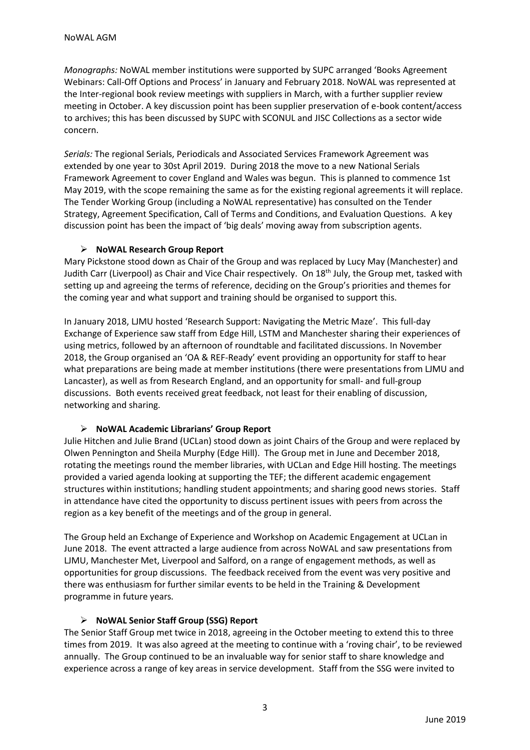*Monographs:* NoWAL member institutions were supported by SUPC arranged 'Books Agreement Webinars: Call-Off Options and Process' in January and February 2018. NoWAL was represented at the Inter-regional book review meetings with suppliers in March, with a further supplier review meeting in October. A key discussion point has been supplier preservation of e-book content/access to archives; this has been discussed by SUPC with SCONUL and JISC Collections as a sector wide concern.

*Serials:* The regional Serials, Periodicals and Associated Services Framework Agreement was extended by one year to 30st April 2019. During 2018 the move to a new National Serials Framework Agreement to cover England and Wales was begun. This is planned to commence 1st May 2019, with the scope remaining the same as for the existing regional agreements it will replace. The Tender Working Group (including a NoWAL representative) has consulted on the Tender Strategy, Agreement Specification, Call of Terms and Conditions, and Evaluation Questions. A key discussion point has been the impact of 'big deals' moving away from subscription agents.

#### ➢ **NoWAL Research Group Report**

Mary Pickstone stood down as Chair of the Group and was replaced by Lucy May (Manchester) and Judith Carr (Liverpool) as Chair and Vice Chair respectively. On 18th July, the Group met, tasked with setting up and agreeing the terms of reference, deciding on the Group's priorities and themes for the coming year and what support and training should be organised to support this.

In January 2018, LJMU hosted 'Research Support: Navigating the Metric Maze'. This full-day Exchange of Experience saw staff from Edge Hill, LSTM and Manchester sharing their experiences of using metrics, followed by an afternoon of roundtable and facilitated discussions. In November 2018, the Group organised an 'OA & REF-Ready' event providing an opportunity for staff to hear what preparations are being made at member institutions (there were presentations from LJMU and Lancaster), as well as from Research England, and an opportunity for small- and full-group discussions. Both events received great feedback, not least for their enabling of discussion, networking and sharing.

#### ➢ **NoWAL Academic Librarians' Group Report**

Julie Hitchen and Julie Brand (UCLan) stood down as joint Chairs of the Group and were replaced by Olwen Pennington and Sheila Murphy (Edge Hill). The Group met in June and December 2018, rotating the meetings round the member libraries, with UCLan and Edge Hill hosting. The meetings provided a varied agenda looking at supporting the TEF; the different academic engagement structures within institutions; handling student appointments; and sharing good news stories. Staff in attendance have cited the opportunity to discuss pertinent issues with peers from across the region as a key benefit of the meetings and of the group in general.

The Group held an Exchange of Experience and Workshop on Academic Engagement at UCLan in June 2018. The event attracted a large audience from across NoWAL and saw presentations from LJMU, Manchester Met, Liverpool and Salford, on a range of engagement methods, as well as opportunities for group discussions. The feedback received from the event was very positive and there was enthusiasm for further similar events to be held in the Training & Development programme in future years.

#### ➢ **NoWAL Senior Staff Group (SSG) Report**

The Senior Staff Group met twice in 2018, agreeing in the October meeting to extend this to three times from 2019. It was also agreed at the meeting to continue with a 'roving chair', to be reviewed annually. The Group continued to be an invaluable way for senior staff to share knowledge and experience across a range of key areas in service development. Staff from the SSG were invited to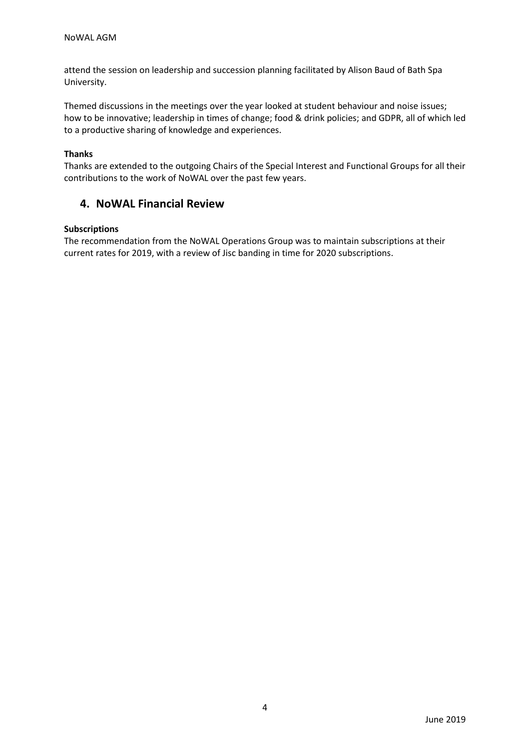attend the session on leadership and succession planning facilitated by Alison Baud of Bath Spa University.

Themed discussions in the meetings over the year looked at student behaviour and noise issues; how to be innovative; leadership in times of change; food & drink policies; and GDPR, all of which led to a productive sharing of knowledge and experiences.

#### **Thanks**

Thanks are extended to the outgoing Chairs of the Special Interest and Functional Groups for all their contributions to the work of NoWAL over the past few years.

## **4. NoWAL Financial Review**

#### **Subscriptions**

The recommendation from the NoWAL Operations Group was to maintain subscriptions at their current rates for 2019, with a review of Jisc banding in time for 2020 subscriptions.